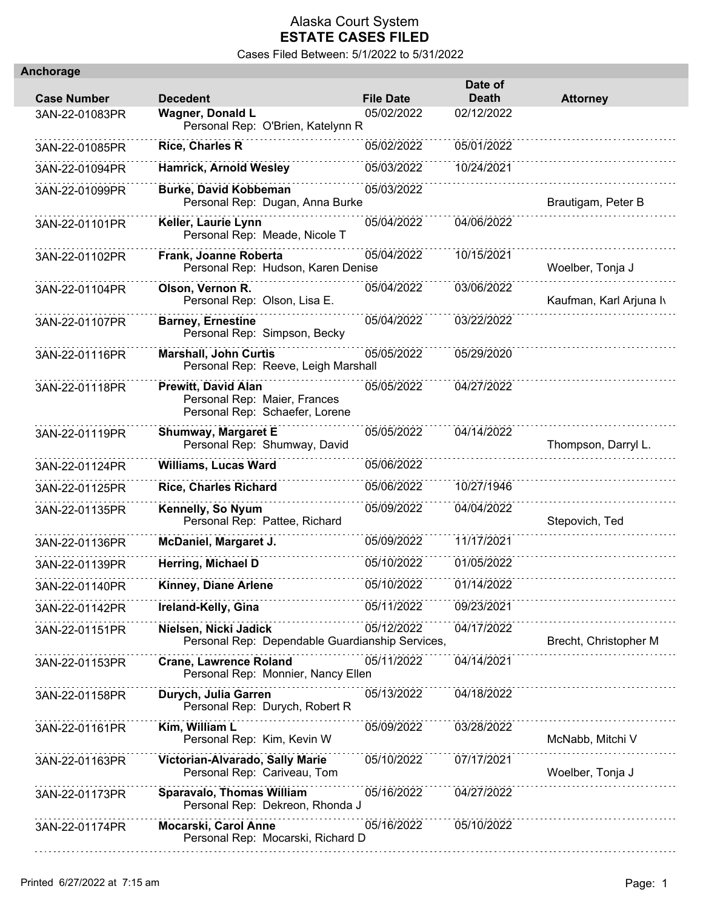| Anchorage          |                                                                                              |                  |                         |                         |
|--------------------|----------------------------------------------------------------------------------------------|------------------|-------------------------|-------------------------|
| <b>Case Number</b> | <b>Decedent</b>                                                                              | <b>File Date</b> | Date of<br><b>Death</b> | <b>Attorney</b>         |
| 3AN-22-01083PR     | <b>Wagner, Donald L</b><br>Personal Rep: O'Brien, Katelynn R                                 | 05/02/2022       | 02/12/2022              |                         |
| 3AN-22-01085PR     | <b>Rice, Charles R</b>                                                                       | 05/02/2022       | 05/01/2022              |                         |
| 3AN-22-01094PR     | <b>Hamrick, Arnold Wesley</b>                                                                | 05/03/2022       | 10/24/2021              |                         |
| 3AN-22-01099PR     | <b>Burke, David Kobbeman</b><br>Personal Rep: Dugan, Anna Burke                              | 05/03/2022       |                         | Brautigam, Peter B      |
| 3AN-22-01101PR     | Keller, Laurie Lynn<br>Personal Rep: Meade, Nicole T                                         | 05/04/2022       | 04/06/2022              |                         |
| 3AN-22-01102PR     | Frank, Joanne Roberta<br>Personal Rep: Hudson, Karen Denise                                  | 05/04/2022       | 10/15/2021              | Woelber, Tonja J        |
| 3AN-22-01104PR     | Olson, Vernon R.<br>Personal Rep: Olson, Lisa E.                                             | 05/04/2022       | 03/06/2022              | Kaufman, Karl Arjuna Iv |
| 3AN-22-01107PR     | <b>Barney, Ernestine</b><br>Personal Rep: Simpson, Becky                                     | 05/04/2022       | 03/22/2022              |                         |
| 3AN-22-01116PR     | <b>Marshall, John Curtis</b><br>Personal Rep: Reeve, Leigh Marshall                          | 05/05/2022       | 05/29/2020              |                         |
| 3AN-22-01118PR     | <b>Prewitt, David Alan</b><br>Personal Rep: Maier, Frances<br>Personal Rep: Schaefer, Lorene | 05/05/2022       | 04/27/2022              |                         |
| 3AN-22-01119PR     | <b>Shumway, Margaret E</b><br>Personal Rep: Shumway, David                                   | 05/05/2022       | 04/14/2022              | Thompson, Darryl L.     |
| 3AN-22-01124PR     | <b>Williams, Lucas Ward</b>                                                                  | 05/06/2022       |                         |                         |
| 3AN-22-01125PR     | <b>Rice, Charles Richard</b>                                                                 | 05/06/2022       | 10/27/1946              |                         |
| 3AN-22-01135PR     | Kennelly, So Nyum<br>Personal Rep: Pattee, Richard                                           | 05/09/2022       | 04/04/2022              | Stepovich, Ted          |
| 3AN-22-01136PR     | McDaniel, Margaret J.                                                                        | 05/09/2022       | 11/17/2021              |                         |
| 3AN-22-01139PR     | Herring, Michael D                                                                           | 05/10/2022       | 01/05/2022              |                         |
| 3AN-22-01140PR     | Kinney, Diane Arlene                                                                         | 05/10/2022       | 01/14/2022              |                         |
| 3AN-22-01142PR     | Ireland-Kelly, Gina                                                                          | 05/11/2022       | 09/23/2021              |                         |
| 3AN-22-01151PR     | Nielsen, Nicki Jadick<br>Personal Rep: Dependable Guardianship Services,                     | 05/12/2022       | 04/17/2022              | Brecht, Christopher M   |
| 3AN-22-01153PR     | <b>Crane, Lawrence Roland</b><br>Personal Rep: Monnier, Nancy Ellen                          | 05/11/2022       | 04/14/2021              |                         |
| 3AN-22-01158PR     | Durych, Julia Garren<br>Personal Rep: Durych, Robert R                                       | 05/13/2022       | 04/18/2022              |                         |
| 3AN-22-01161PR     | Kim, William L<br>Personal Rep: Kim, Kevin W                                                 | 05/09/2022       | 03/28/2022              | McNabb, Mitchi V        |
| 3AN-22-01163PR     | Victorian-Alvarado, Sally Marie<br>Personal Rep: Cariveau, Tom                               | 05/10/2022       | 07/17/2021              | Woelber, Tonja J        |
| 3AN-22-01173PR     | Sparavalo, Thomas William<br>Personal Rep: Dekreon, Rhonda J                                 | 05/16/2022       | 04/27/2022              |                         |
| 3AN-22-01174PR     | Mocarski, Carol Anne<br>Personal Rep: Mocarski, Richard D                                    | 05/16/2022       | 05/10/2022              |                         |
|                    |                                                                                              |                  |                         |                         |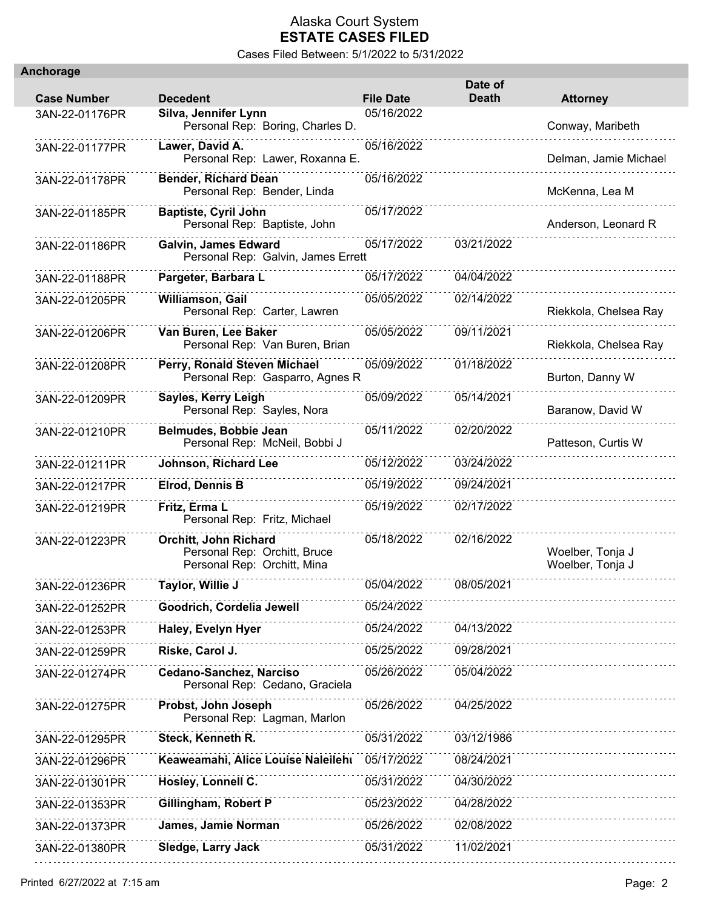| <b>Anchorage</b>   |                                                                                      |                  |                         |                                      |
|--------------------|--------------------------------------------------------------------------------------|------------------|-------------------------|--------------------------------------|
| <b>Case Number</b> | <b>Decedent</b>                                                                      | <b>File Date</b> | Date of<br><b>Death</b> | <b>Attorney</b>                      |
| 3AN-22-01176PR     | Silva, Jennifer Lynn<br>Personal Rep: Boring, Charles D.                             | 05/16/2022       |                         | Conway, Maribeth                     |
| 3AN-22-01177PR     | Lawer, David A.<br>Personal Rep: Lawer, Roxanna E.                                   | 05/16/2022       |                         | Delman, Jamie Michael                |
| 3AN-22-01178PR     | <b>Bender, Richard Dean</b><br>Personal Rep: Bender, Linda                           | 05/16/2022       |                         | McKenna, Lea M                       |
| 3AN-22-01185PR     | <b>Baptiste, Cyril John</b><br>Personal Rep: Baptiste, John                          | 05/17/2022       |                         | Anderson, Leonard R                  |
| 3AN-22-01186PR     | Galvin, James Edward<br>Personal Rep: Galvin, James Errett                           | 05/17/2022       | 03/21/2022              |                                      |
| 3AN-22-01188PR     | Pargeter, Barbara L                                                                  | 05/17/2022       | 04/04/2022              |                                      |
| 3AN-22-01205PR     | Williamson, Gail<br>Personal Rep: Carter, Lawren                                     | 05/05/2022       | 02/14/2022              | Riekkola, Chelsea Ray                |
| 3AN-22-01206PR     | Van Buren, Lee Baker<br>Personal Rep: Van Buren, Brian                               | 05/05/2022       | 09/11/2021              | Riekkola, Chelsea Ray                |
| 3AN-22-01208PR     | Perry, Ronald Steven Michael<br>Personal Rep: Gasparro, Agnes R                      | 05/09/2022       | 01/18/2022              | Burton, Danny W                      |
| 3AN-22-01209PR     | Sayles, Kerry Leigh<br>Personal Rep: Sayles, Nora                                    | 05/09/2022       | 05/14/2021              | Baranow, David W                     |
| 3AN-22-01210PR     | Belmudes, Bobbie Jean<br>Personal Rep: McNeil, Bobbi J                               | 05/11/2022       | 02/20/2022              | Patteson, Curtis W                   |
| 3AN-22-01211PR     | Johnson, Richard Lee                                                                 | 05/12/2022       | 03/24/2022              |                                      |
| 3AN-22-01217PR     | <b>Elrod, Dennis B</b>                                                               | 05/19/2022       | 09/24/2021              |                                      |
| 3AN-22-01219PR     | Fritz, Erma L<br>Personal Rep: Fritz, Michael                                        | 05/19/2022       | 02/17/2022              |                                      |
| 3AN-22-01223PR     | Orchitt, John Richard<br>Personal Rep: Orchitt, Bruce<br>Personal Rep: Orchitt, Mina | 05/18/2022       | 02/16/2022              | Woelber, Tonja J<br>Woelber, Tonja J |
| 3AN-22-01236PR     | Taylor, Willie J                                                                     | 05/04/2022       | 08/05/2021              |                                      |
| 3AN-22-01252PR     | Goodrich, Cordelia Jewell                                                            | 05/24/2022       |                         |                                      |
| 3AN-22-01253PR     | <b>Haley, Evelyn Hyer</b>                                                            | 05/24/2022       | 04/13/2022              |                                      |
| 3AN-22-01259PR     | Riske, Carol J.                                                                      | 05/25/2022       | 09/28/2021              |                                      |
| 3AN-22-01274PR     | Cedano-Sanchez, Narciso<br>Personal Rep: Cedano, Graciela                            | 05/26/2022       | 05/04/2022              |                                      |
| 3AN-22-01275PR     | Probst, John Joseph<br>Personal Rep: Lagman, Marlon                                  | 05/26/2022       | 04/25/2022              |                                      |
| 3AN-22-01295PR     | Steck, Kenneth R.                                                                    | 05/31/2022       | 03/12/1986              |                                      |
| 3AN-22-01296PR     | Keaweamahi, Alice Louise Naleilehi                                                   | 05/17/2022       | 08/24/2021              |                                      |
| 3AN-22-01301PR     | Hosley, Lonnell C.                                                                   | 05/31/2022       | 04/30/2022              |                                      |
| 3AN-22-01353PR     | Gillingham, Robert P                                                                 | 05/23/2022       | 04/28/2022              |                                      |
| 3AN-22-01373PR     | James, Jamie Norman                                                                  | 05/26/2022       | 02/08/2022              |                                      |
| 3AN-22-01380PR     | Sledge, Larry Jack                                                                   | 05/31/2022       | 11/02/2021              |                                      |
|                    |                                                                                      |                  |                         |                                      |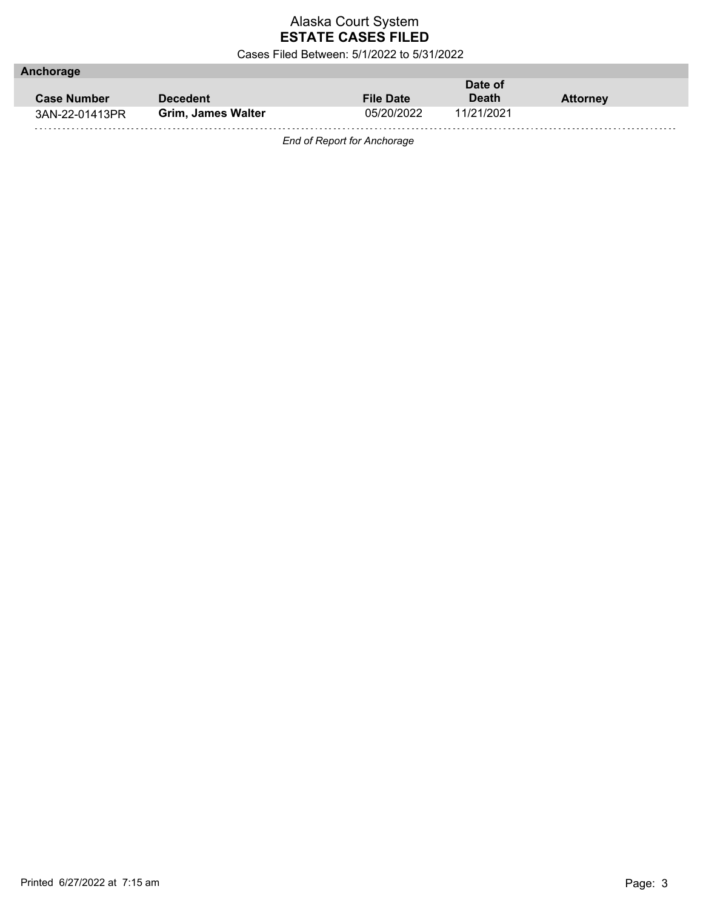Cases Filed Between: 5/1/2022 to 5/31/2022

| Anchorage          |                    |                  |              |                 |
|--------------------|--------------------|------------------|--------------|-----------------|
|                    |                    |                  | Date of      |                 |
| <b>Case Number</b> | <b>Decedent</b>    | <b>File Date</b> | <b>Death</b> | <b>Attorney</b> |
| 3AN-22-01413PR     | Grim, James Walter | 05/20/2022       | 11/21/2021   |                 |
|                    |                    |                  |              |                 |

*End of Report for Anchorage*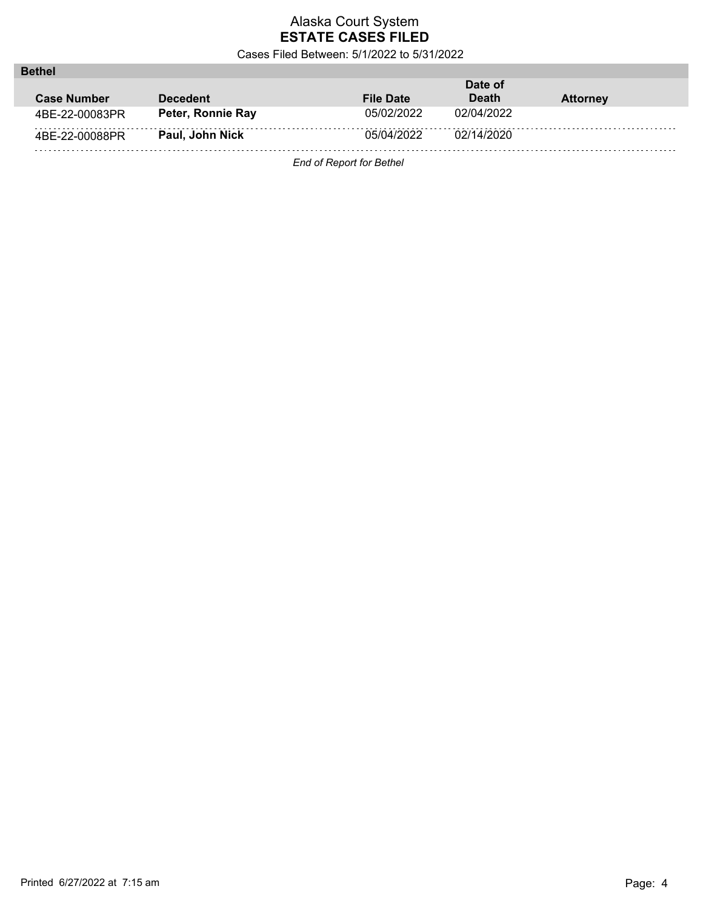Cases Filed Between: 5/1/2022 to 5/31/2022

| <b>Bethel</b>      |                   |                  |              |                 |
|--------------------|-------------------|------------------|--------------|-----------------|
|                    |                   |                  | Date of      |                 |
| <b>Case Number</b> | <b>Decedent</b>   | <b>File Date</b> | <b>Death</b> | <b>Attorney</b> |
| 4BE-22-00083PR     | Peter, Ronnie Ray | 05/02/2022       | 02/04/2022   |                 |
| 4BE-22-00088PR     | Paul, John Nick   | 05/04/2022       | 02/14/2020   |                 |
| .                  |                   |                  |              |                 |

*End of Report for Bethel*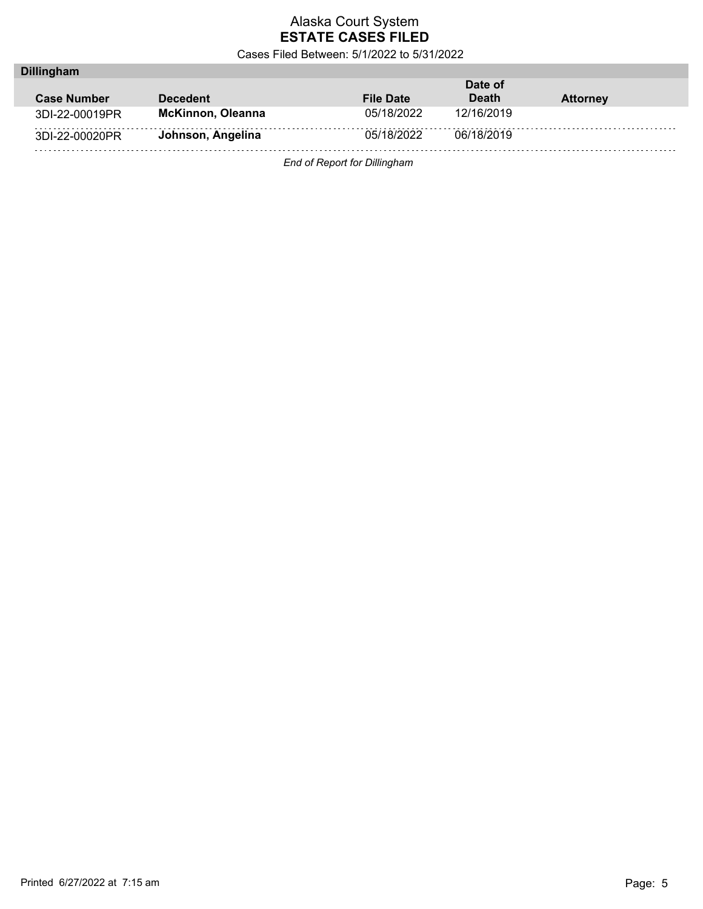Cases Filed Between: 5/1/2022 to 5/31/2022

| Date of                                             |
|-----------------------------------------------------|
| <b>Death</b><br><b>File Date</b><br><b>Attorney</b> |
| 05/18/2022<br>12/16/2019                            |
| 05/18/2022<br>06/18/2019                            |
|                                                     |

*End of Report for Dillingham*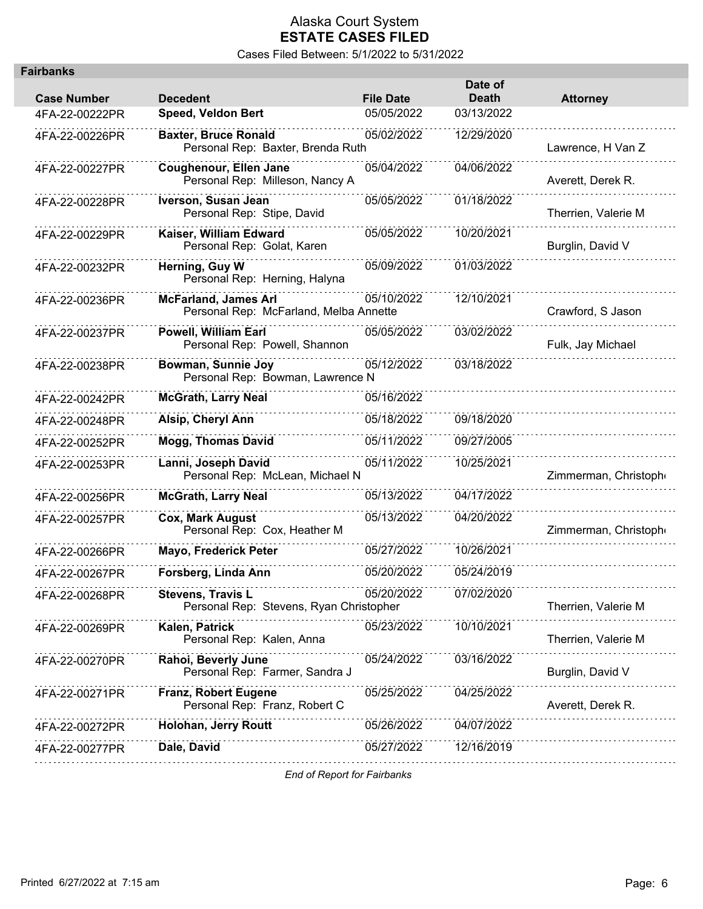Cases Filed Between: 5/1/2022 to 5/31/2022

| airbanks           |                                                                       |                  |                         |                      |
|--------------------|-----------------------------------------------------------------------|------------------|-------------------------|----------------------|
| <b>Case Number</b> | <b>Decedent</b>                                                       | <b>File Date</b> | Date of<br><b>Death</b> | <b>Attorney</b>      |
| 4FA-22-00222PR     | <b>Speed, Veldon Bert</b>                                             | 05/05/2022       | 03/13/2022              |                      |
| 4FA-22-00226PR     | <b>Baxter, Bruce Ronald</b><br>Personal Rep: Baxter, Brenda Ruth      | 05/02/2022       | 12/29/2020              | Lawrence, H Van Z    |
| 4FA-22-00227PR     | Coughenour, Ellen Jane<br>Personal Rep: Milleson, Nancy A             | 05/04/2022       | 04/06/2022              | Averett, Derek R.    |
| 4FA-22-00228PR     | Iverson, Susan Jean<br>Personal Rep: Stipe, David                     | 05/05/2022       | 01/18/2022              | Therrien, Valerie M  |
| 4FA-22-00229PR     | Kaiser, William Edward<br>Personal Rep: Golat, Karen                  | 05/05/2022       | 10/20/2021              | Burglin, David V     |
| 4FA-22-00232PR     | Herning, Guy W<br>Personal Rep: Herning, Halyna                       | 05/09/2022       | 01/03/2022              |                      |
| 4FA-22-00236PR     | <b>McFarland, James Arl</b><br>Personal Rep: McFarland, Melba Annette | 05/10/2022       | 12/10/2021              | Crawford, S Jason    |
| 4FA-22-00237PR     | <b>Powell, William Earl</b><br>Personal Rep: Powell, Shannon          | 05/05/2022       | 03/02/2022              | Fulk, Jay Michael    |
| 4FA-22-00238PR     | Bowman, Sunnie Joy<br>Personal Rep: Bowman, Lawrence N                | 05/12/2022       | 03/18/2022              |                      |
| 4FA-22-00242PR     | <b>McGrath, Larry Neal</b>                                            | 05/16/2022       |                         |                      |
| 4FA-22-00248PR     | Alsip, Cheryl Ann                                                     | 05/18/2022       | 09/18/2020              |                      |
| 4FA-22-00252PR     | <b>Mogg, Thomas David</b>                                             | 05/11/2022       | 09/27/2005              |                      |
| 4FA-22-00253PR     | Lanni, Joseph David<br>Personal Rep: McLean, Michael N                | 05/11/2022       | 10/25/2021              | Zimmerman, Christoph |
| 4FA-22-00256PR     | <b>McGrath, Larry Neal</b>                                            | 05/13/2022       | 04/17/2022              |                      |
| 4FA-22-00257PR     | <b>Cox, Mark August</b><br>Personal Rep: Cox, Heather M               | 05/13/2022       | 04/20/2022              | Zimmerman, Christoph |
| 4FA-22-00266PR     | Mayo, Frederick Peter                                                 | 05/27/2022       | 10/26/2021              |                      |
| 4FA-22-00267PR     | Forsberg, Linda Ann                                                   | 05/20/2022       | 05/24/2019              |                      |
| 4FA-22-00268PR     | <b>Stevens, Travis L</b><br>Personal Rep: Stevens, Ryan Christopher   | 05/20/2022       | 07/02/2020              | Therrien, Valerie M  |
| 4FA-22-00269PR     | Kalen, Patrick<br>Personal Rep: Kalen, Anna                           | 05/23/2022       | 10/10/2021              | Therrien, Valerie M  |
| 4FA-22-00270PR     | Rahoi, Beverly June<br>Personal Rep: Farmer, Sandra J                 | 05/24/2022       | 03/16/2022              | Burglin, David V     |
| 4FA-22-00271PR     | Franz, Robert Eugene<br>Personal Rep: Franz, Robert C                 | 05/25/2022       | 04/25/2022              | Averett, Derek R.    |
| 4FA-22-00272PR     | Holohan, Jerry Routt                                                  | 05/26/2022       | 04/07/2022              |                      |
| 4FA-22-00277PR     | Dale, David                                                           | 05/27/2022       | 12/16/2019              |                      |
|                    |                                                                       |                  |                         |                      |

*End of Report for Fairbanks*

**Fairbanks**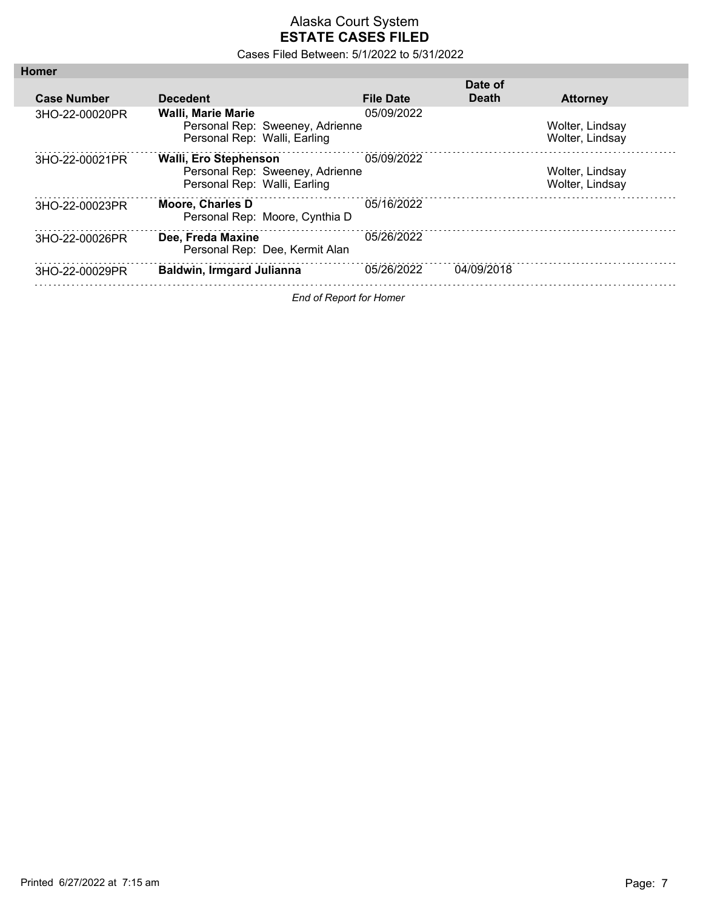| <b>Homer</b>                   |                                                                                                 |                  |              |                                    |
|--------------------------------|-------------------------------------------------------------------------------------------------|------------------|--------------|------------------------------------|
|                                |                                                                                                 |                  | Date of      |                                    |
| <b>Case Number</b>             | <b>Decedent</b>                                                                                 | <b>File Date</b> | <b>Death</b> | <b>Attorney</b>                    |
| 3HO-22-00020PR                 | <b>Walli. Marie Marie</b><br>Personal Rep: Sweeney, Adrienne<br>Personal Rep: Walli, Earling    | 05/09/2022       |              | Wolter, Lindsay<br>Wolter, Lindsay |
| 3HO-22-00021PR                 | <b>Walli, Ero Stephenson</b><br>Personal Rep: Sweeney, Adrienne<br>Personal Rep: Walli, Earling | 05/09/2022       |              | Wolter, Lindsay<br>Wolter, Lindsay |
| 3HO-22-00023PR                 | <b>Moore, Charles D</b><br>Personal Rep: Moore, Cynthia D                                       | 05/16/2022       |              |                                    |
| 3HO-22-00026PR                 | Dee, Freda Maxine<br>Personal Rep: Dee, Kermit Alan                                             | 05/26/2022       |              |                                    |
| 3HO-22-00029PR                 | <b>Baldwin, Irmgard Julianna</b>                                                                | 05/26/2022       | 04/09/2018   |                                    |
| <b>End of Report for Homer</b> |                                                                                                 |                  |              |                                    |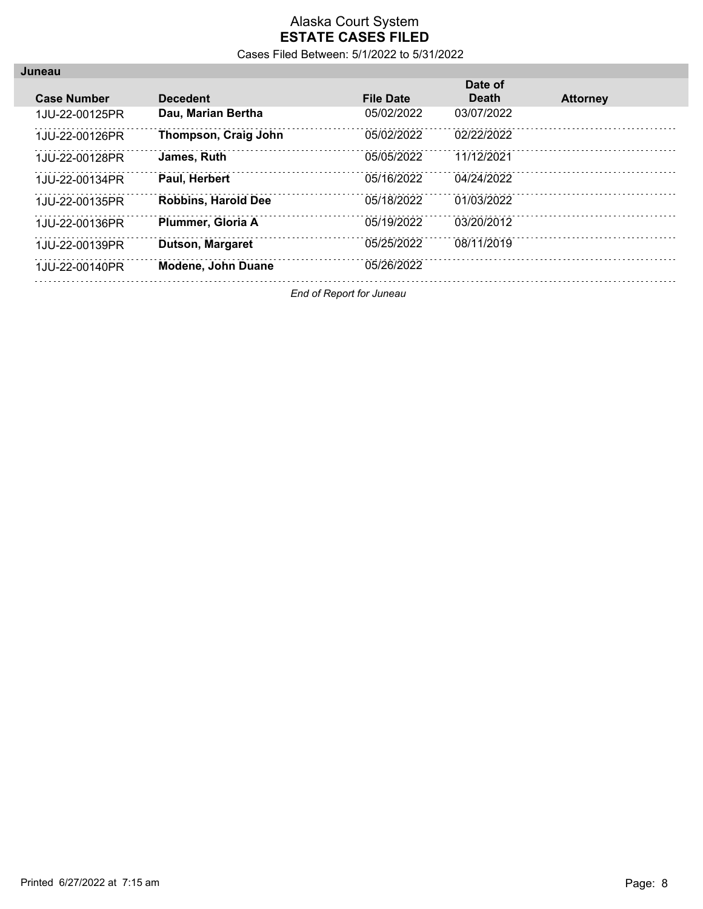Cases Filed Between: 5/1/2022 to 5/31/2022

| Juneau             |                            |                  |              |                 |
|--------------------|----------------------------|------------------|--------------|-----------------|
|                    |                            |                  | Date of      |                 |
| <b>Case Number</b> | <b>Decedent</b>            | <b>File Date</b> | <b>Death</b> | <b>Attorney</b> |
| 1.JU-22-00125PR    | Dau, Marian Bertha         | 05/02/2022       | 03/07/2022   |                 |
| 1JU-22-00126PR     | Thompson, Craig John       | 05/02/2022       | 02/22/2022   |                 |
| 1.JU-22-00128PR    | James, Ruth                | 05/05/2022       | 11/12/2021   |                 |
| 1.JU-22-00134PR    | <b>Paul. Herbert</b>       | 05/16/2022       | 04/24/2022   |                 |
| 1.JU-22-00135PR    | <b>Robbins, Harold Dee</b> | 05/18/2022       | 01/03/2022   |                 |
| 1.JU-22-00136PR    | Plummer, Gloria A          | 05/19/2022       | 03/20/2012   |                 |
| 1.JU-22-00139PR    | Dutson, Margaret           | 05/25/2022       | 08/11/2019   |                 |
| 1JU-22-00140PR     | <b>Modene, John Duane</b>  | 05/26/2022       |              |                 |

*End of Report for Juneau*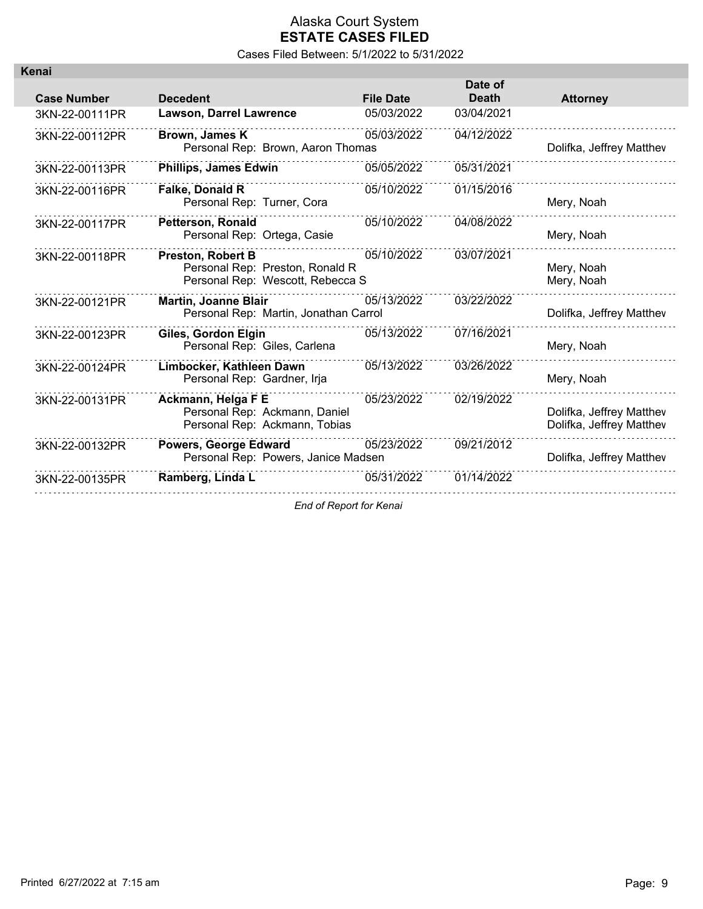| Kenai              |                                                                                                 |                  |                         |                                                      |
|--------------------|-------------------------------------------------------------------------------------------------|------------------|-------------------------|------------------------------------------------------|
| <b>Case Number</b> | <b>Decedent</b>                                                                                 | <b>File Date</b> | Date of<br><b>Death</b> | <b>Attorney</b>                                      |
| 3KN-22-00111PR     | <b>Lawson, Darrel Lawrence</b>                                                                  | 05/03/2022       | 03/04/2021              |                                                      |
| 3KN-22-00112PR     | Brown, James K<br>Personal Rep: Brown, Aaron Thomas                                             | 05/03/2022       | 04/12/2022              | Dolifka, Jeffrey Matthev                             |
| 3KN-22-00113PR     | <b>Phillips, James Edwin</b>                                                                    | 05/05/2022       | 05/31/2021              |                                                      |
| 3KN-22-00116PR     | <b>Falke, Donald R</b><br>Personal Rep: Turner, Cora                                            | 05/10/2022       | 01/15/2016              | Mery, Noah                                           |
| 3KN-22-00117PR     | <b>Petterson, Ronald</b><br>Personal Rep: Ortega, Casie                                         | 05/10/2022       | 04/08/2022              | Mery, Noah                                           |
| 3KN-22-00118PR     | <b>Preston, Robert B</b><br>Personal Rep: Preston, Ronald R<br>Personal Rep: Wescott, Rebecca S | 05/10/2022       | 03/07/2021              | Mery, Noah<br>Mery, Noah                             |
| 3KN-22-00121PR     | <b>Martin, Joanne Blair</b><br>Personal Rep: Martin, Jonathan Carrol                            | 05/13/2022       | 03/22/2022              | Dolifka, Jeffrey Matthev                             |
| 3KN-22-00123PR     | Giles, Gordon Elgin<br>Personal Rep: Giles, Carlena                                             | 05/13/2022       | 07/16/2021              | Mery, Noah                                           |
| 3KN-22-00124PR     | Limbocker, Kathleen Dawn<br>Personal Rep: Gardner, Irja                                         | 05/13/2022       | 03/26/2022              | Mery, Noah                                           |
| 3KN-22-00131PR     | Ackmann, Helga F E<br>Personal Rep: Ackmann, Daniel<br>Personal Rep: Ackmann, Tobias            | 05/23/2022       | 02/19/2022              | Dolifka, Jeffrey Matthev<br>Dolifka, Jeffrey Matthev |
| 3KN-22-00132PR     | <b>Powers, George Edward</b><br>Personal Rep: Powers, Janice Madsen                             | 05/23/2022       | 09/21/2012              | Dolifka, Jeffrey Matthev                             |
| 3KN-22-00135PR     | Ramberg, Linda L                                                                                | 05/31/2022       | 01/14/2022              |                                                      |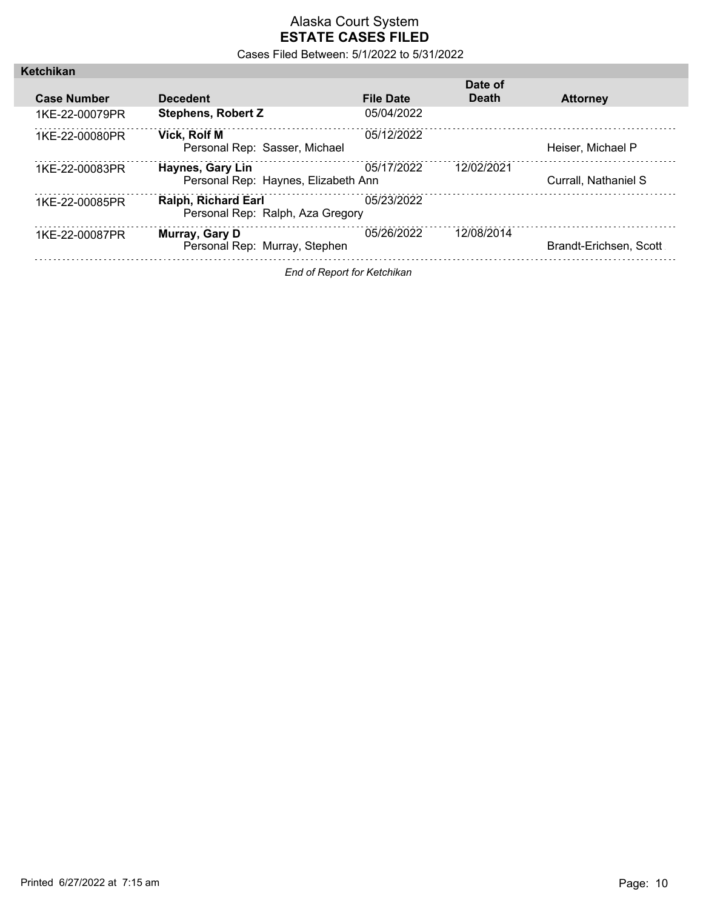Cases Filed Between: 5/1/2022 to 5/31/2022

|                    |                                                                |                  | Date of      |                        |
|--------------------|----------------------------------------------------------------|------------------|--------------|------------------------|
| <b>Case Number</b> | <b>Decedent</b>                                                | <b>File Date</b> | <b>Death</b> | <b>Attorney</b>        |
| 1KF-22-00079PR     | <b>Stephens, Robert Z</b>                                      | 05/04/2022       |              |                        |
| 1KF-22-00080PR     | <b>Vick. Rolf M</b><br>Personal Rep: Sasser, Michael           | 05/12/2022       |              | Heiser. Michael P      |
| 1KF-22-00083PR     | <b>Haynes, Gary Lin</b><br>Personal Rep: Haynes, Elizabeth Ann | 05/17/2022       | 12/02/2021   | Currall, Nathaniel S   |
| 1KF-22-00085PR     | <b>Ralph, Richard Earl</b><br>Personal Rep: Ralph, Aza Gregory | 05/23/2022       |              |                        |
| 1KF-22-00087PR     | Murray, Gary D<br>Personal Rep: Murray, Stephen                | 05/26/2022       | 12/08/2014   | Brandt-Erichsen, Scott |

*End of Report for Ketchikan*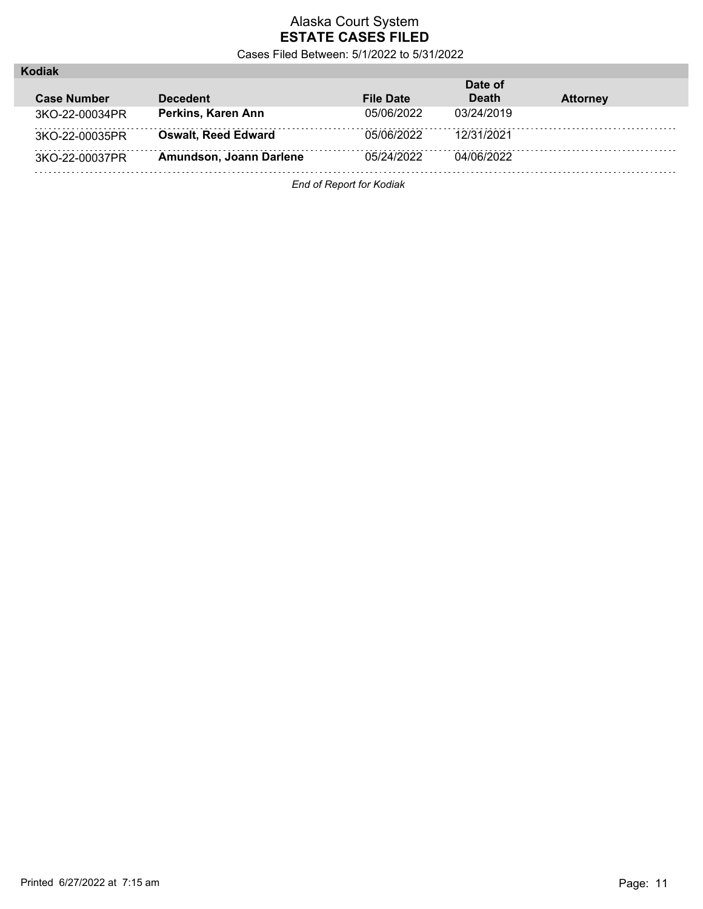Cases Filed Between: 5/1/2022 to 5/31/2022

| <b>ƙodiak</b>      |                            |                  |              |                 |
|--------------------|----------------------------|------------------|--------------|-----------------|
|                    |                            |                  | Date of      |                 |
| <b>Case Number</b> | <b>Decedent</b>            | <b>File Date</b> | <b>Death</b> | <b>Attorney</b> |
| 3KO-22-00034PR     | Perkins, Karen Ann         | 05/06/2022       | 03/24/2019   |                 |
| 3KO-22-00035PR     | <b>Oswalt, Reed Edward</b> | 05/06/2022       | 12/31/2021   |                 |
| 3KO-22-00037PR     | Amundson, Joann Darlene    | 05/24/2022       | 04/06/2022   |                 |
|                    |                            |                  |              |                 |

*End of Report for Kodiak*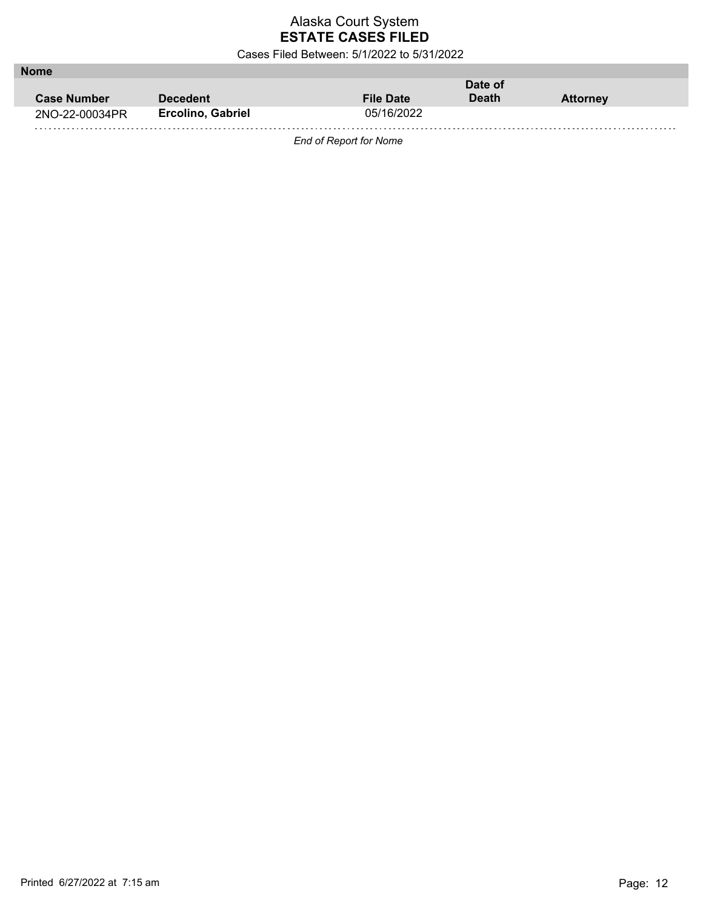Cases Filed Between: 5/1/2022 to 5/31/2022

| <b>Nome</b>        |                          |                  |         |                 |
|--------------------|--------------------------|------------------|---------|-----------------|
|                    |                          |                  | Date of |                 |
| <b>Case Number</b> | <b>Decedent</b>          | <b>File Date</b> | Death   | <b>Attorney</b> |
| 2NO-22-00034PR     | <b>Ercolino, Gabriel</b> | 05/16/2022       |         |                 |
|                    |                          |                  |         |                 |

*End of Report for Nome*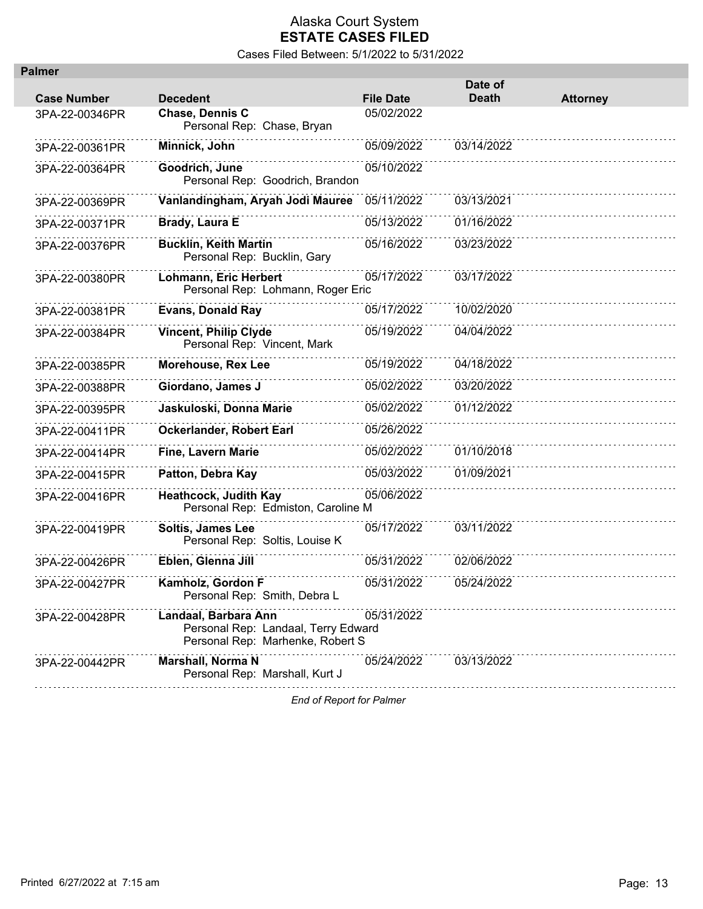Cases Filed Between: 5/1/2022 to 5/31/2022

| <b>Palmer</b>      |                                                                                                 |                  |                         |                 |
|--------------------|-------------------------------------------------------------------------------------------------|------------------|-------------------------|-----------------|
| <b>Case Number</b> | <b>Decedent</b>                                                                                 | <b>File Date</b> | Date of<br><b>Death</b> | <b>Attorney</b> |
| 3PA-22-00346PR     | Chase, Dennis C<br>Personal Rep: Chase, Bryan                                                   | 05/02/2022       |                         |                 |
| 3PA-22-00361PR     | Minnick, John                                                                                   | 05/09/2022       | 03/14/2022              |                 |
| 3PA-22-00364PR     | Goodrich, June<br>Personal Rep: Goodrich, Brandon                                               | 05/10/2022       |                         |                 |
| 3PA-22-00369PR     | Vanlandingham, Aryah Jodi Mauree                                                                | 05/11/2022       | 03/13/2021              |                 |
| 3PA-22-00371PR     | Brady, Laura E                                                                                  | 05/13/2022       | 01/16/2022              |                 |
| 3PA-22-00376PR     | <b>Bucklin, Keith Martin</b><br>Personal Rep: Bucklin, Gary                                     | 05/16/2022       | 03/23/2022              |                 |
| 3PA-22-00380PR     | Lohmann, Eric Herbert<br>Personal Rep: Lohmann, Roger Eric                                      | 05/17/2022       | 03/17/2022              |                 |
| 3PA-22-00381PR     | <b>Evans, Donald Ray</b>                                                                        | 05/17/2022       | 10/02/2020              |                 |
| 3PA-22-00384PR     | <b>Vincent, Philip Clyde</b><br>Personal Rep: Vincent, Mark                                     | 05/19/2022       | 04/04/2022              |                 |
| 3PA-22-00385PR     | Morehouse, Rex Lee                                                                              | 05/19/2022       | 04/18/2022              |                 |
| 3PA-22-00388PR     | Giordano, James J                                                                               | 05/02/2022       | 03/20/2022              |                 |
| 3PA-22-00395PR     | Jaskuloski, Donna Marie                                                                         | 05/02/2022       | 01/12/2022              |                 |
| 3PA-22-00411PR     | Ockerlander, Robert Earl                                                                        | 05/26/2022       |                         |                 |
| 3PA-22-00414PR     | <b>Fine, Lavern Marie</b>                                                                       | 05/02/2022       | 01/10/2018              |                 |
| 3PA-22-00415PR     | Patton, Debra Kay                                                                               | 05/03/2022       | 01/09/2021              |                 |
| 3PA-22-00416PR     | <b>Heathcock, Judith Kay</b><br>Personal Rep: Edmiston, Caroline M                              | 05/06/2022       |                         |                 |
| 3PA-22-00419PR     | Soltis, James Lee<br>Personal Rep: Soltis, Louise K                                             | 05/17/2022       | 03/11/2022              |                 |
| 3PA-22-00426PR     | Eblen, Glenna Jill                                                                              | 05/31/2022       | 02/06/2022              |                 |
| 3PA-22-00427PR     | Kamholz, Gordon F<br>Personal Rep: Smith, Debra L                                               | 05/31/2022       | 05/24/2022              |                 |
| 3PA-22-00428PR     | Landaal, Barbara Ann<br>Personal Rep: Landaal, Terry Edward<br>Personal Rep: Marhenke, Robert S | 05/31/2022       |                         |                 |
| 3PA-22-00442PR     | Marshall, Norma N<br>Personal Rep: Marshall, Kurt J                                             | 05/24/2022       | 03/13/2022              |                 |
|                    |                                                                                                 |                  |                         |                 |

*End of Report for Palmer*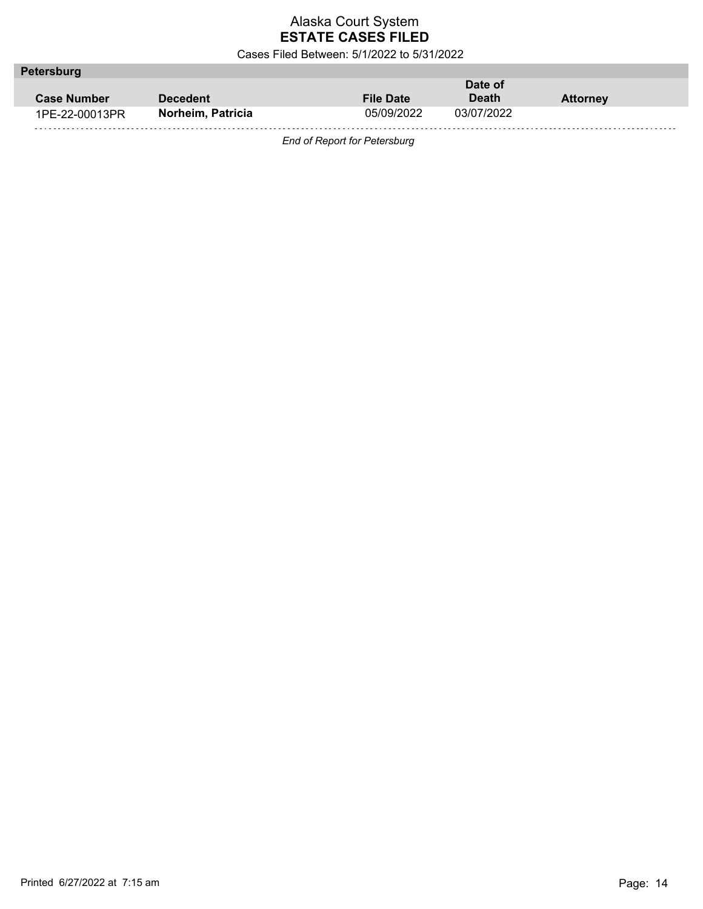Cases Filed Between: 5/1/2022 to 5/31/2022

| Petersburg         |                   |                  |              |                 |  |
|--------------------|-------------------|------------------|--------------|-----------------|--|
|                    |                   |                  | Date of      |                 |  |
| <b>Case Number</b> | <b>Decedent</b>   | <b>File Date</b> | <b>Death</b> | <b>Attorney</b> |  |
| 1PE-22-00013PR     | Norheim, Patricia | 05/09/2022       | 03/07/2022   |                 |  |
|                    |                   |                  |              |                 |  |

*End of Report for Petersburg*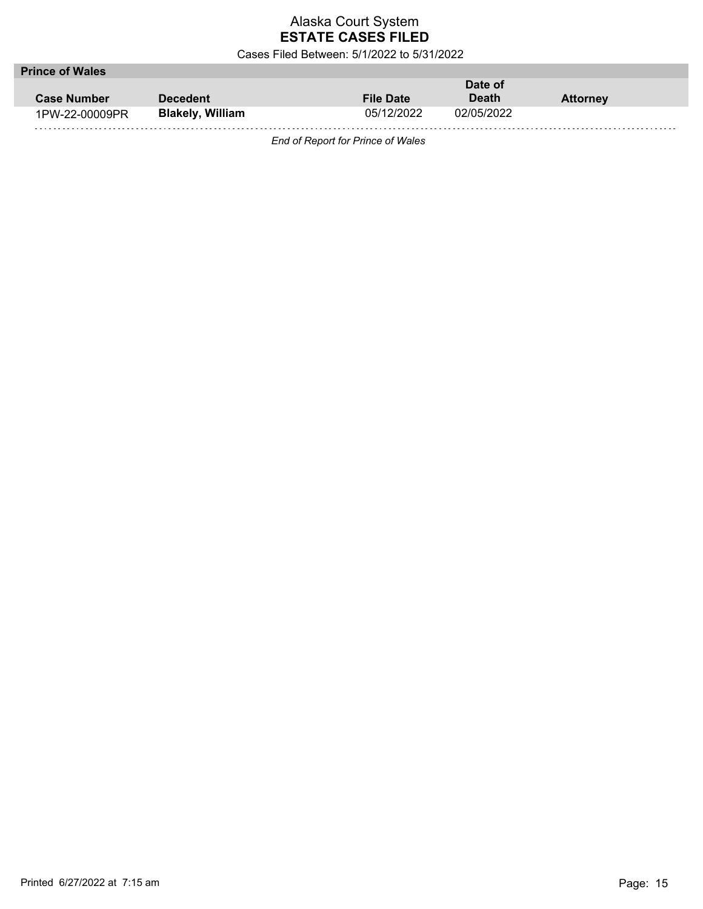Cases Filed Between: 5/1/2022 to 5/31/2022

| <b>Prince of Wales</b> |                         |                  |              |                 |  |
|------------------------|-------------------------|------------------|--------------|-----------------|--|
|                        |                         |                  | Date of      |                 |  |
| <b>Case Number</b>     | <b>Decedent</b>         | <b>File Date</b> | <b>Death</b> | <b>Attorney</b> |  |
| 1PW-22-00009PR         | <b>Blakely, William</b> | 05/12/2022       | 02/05/2022   |                 |  |
|                        |                         |                  |              |                 |  |

*End of Report for Prince of Wales*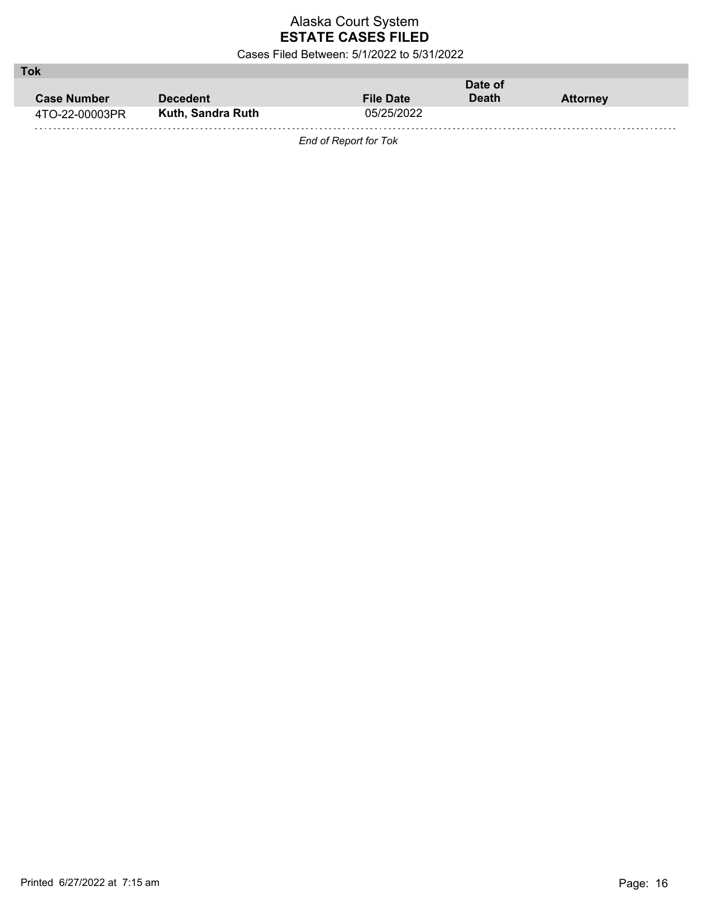Cases Filed Between: 5/1/2022 to 5/31/2022

| Tok                |                   |                  |              |                 |
|--------------------|-------------------|------------------|--------------|-----------------|
|                    |                   | Date of          |              |                 |
| <b>Case Number</b> | Decedent          | <b>File Date</b> | <b>Death</b> | <b>Attorney</b> |
| 4TO-22-00003PR     | Kuth, Sandra Ruth | 05/25/2022       |              |                 |
|                    |                   |                  |              |                 |

*End of Report for Tok*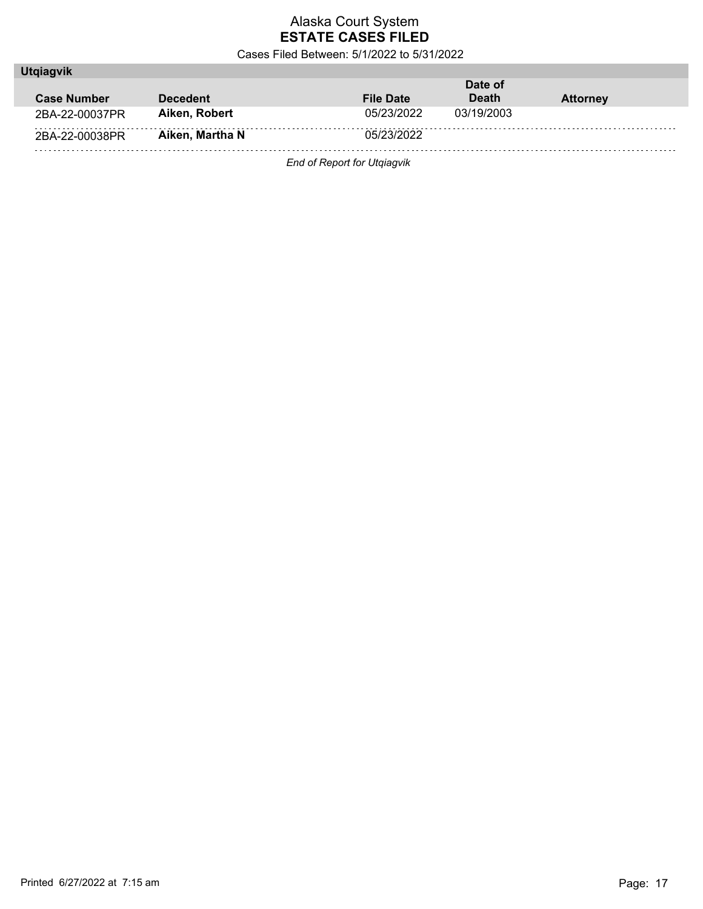Cases Filed Between: 5/1/2022 to 5/31/2022

| <b>Utgiagvik</b>   |                 |                  |              |                 |  |
|--------------------|-----------------|------------------|--------------|-----------------|--|
|                    |                 |                  | Date of      |                 |  |
| <b>Case Number</b> | <b>Decedent</b> | <b>File Date</b> | <b>Death</b> | <b>Attorney</b> |  |
| 2BA-22-00037PR     | Aiken, Robert   | 05/23/2022       | 03/19/2003   |                 |  |
| 2BA-22-00038PR     | Aiken, Martha N | 05/23/2022       |              |                 |  |
|                    |                 |                  |              |                 |  |

*End of Report for Utqiagvik*